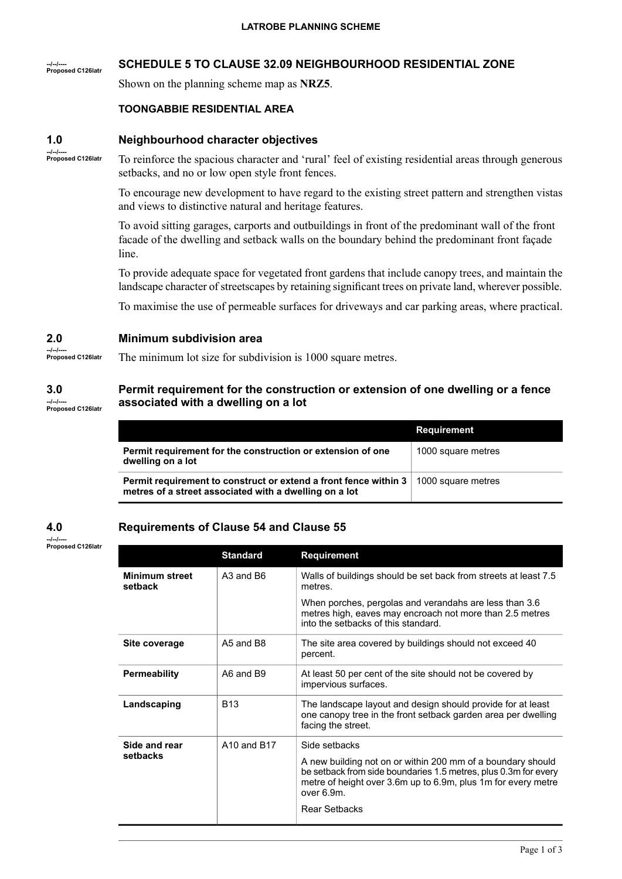### **--/--/---- Proposed C126latr SCHEDULE 5 TO CLAUSE 32.09 NEIGHBOURHOOD RESIDENTIAL ZONE**

Shown on the planning scheme map as **NRZ5**.

## **TOONGABBIE RESIDENTIAL AREA**

#### **1.0 Neighbourhood character objectives**

**--/--/---- Proposed C126latr**

To reinforce the spacious character and 'rural' feel of existing residential areas through generous setbacks, and no or low open style front fences.

To encourage new development to have regard to the existing street pattern and strengthen vistas and views to distinctive natural and heritage features.

To avoid sitting garages, carports and outbuildings in front of the predominant wall of the front facade of the dwelling and setback walls on the boundary behind the predominant front façade line.

To provide adequate space for vegetated front gardens that include canopy trees, and maintain the landscape character of streetscapes by retaining significant trees on private land, wherever possible.

To maximise the use of permeable surfaces for driveways and car parking areas, where practical.

#### **2.0 Minimum subdivision area**

**--/--/---- Proposed C126latr**

**--/--/---- Proposed C126latr**

# The minimum lot size for subdivision is 1000 square metres.

#### **3.0 --/--/---- Proposed C126latr Permit requirement for the construction or extension of one dwelling or a fence associated with a dwelling on a lot**

|                                                                                                                                                  | <b>Requirement</b> |
|--------------------------------------------------------------------------------------------------------------------------------------------------|--------------------|
| Permit requirement for the construction or extension of one<br>dwelling on a lot                                                                 | 1000 square metres |
| Permit requirement to construct or extend a front fence within 3<br>1000 square metres<br>metres of a street associated with a dwelling on a lot |                    |

#### **4.0 Requirements of Clause 54 and Clause 55**

**Standard Requirement** Walls of buildings should be set back from streets at least 7.5 metres. **Minimum street** A3 and B6 **setback** When porches, pergolas and verandahs are less than 3.6 metres high, eaves may encroach not more than 2.5 metres into the setbacks of this standard. The site area covered by buildings should not exceed 40 percent. **Site coverage** A5 and B8 At least 50 per cent of the site should not be covered by impervious surfaces. **Permeability** A6 and B9 The landscape layout and design should provide for at least one canopy tree in the front setback garden area per dwelling facing the street. **Landscaping** B13 **Side and rear** A10 and B17 Side setbacks setbacks **setbacks** <sup>A</sup> new building not on or within <sup>200</sup> mm of <sup>a</sup> boundary should be setback from side boundaries 1.5 metres, plus 0.3m for every metre of height over 3.6m up to 6.9m, plus 1m for every metre over 6.9m. Rear Setbacks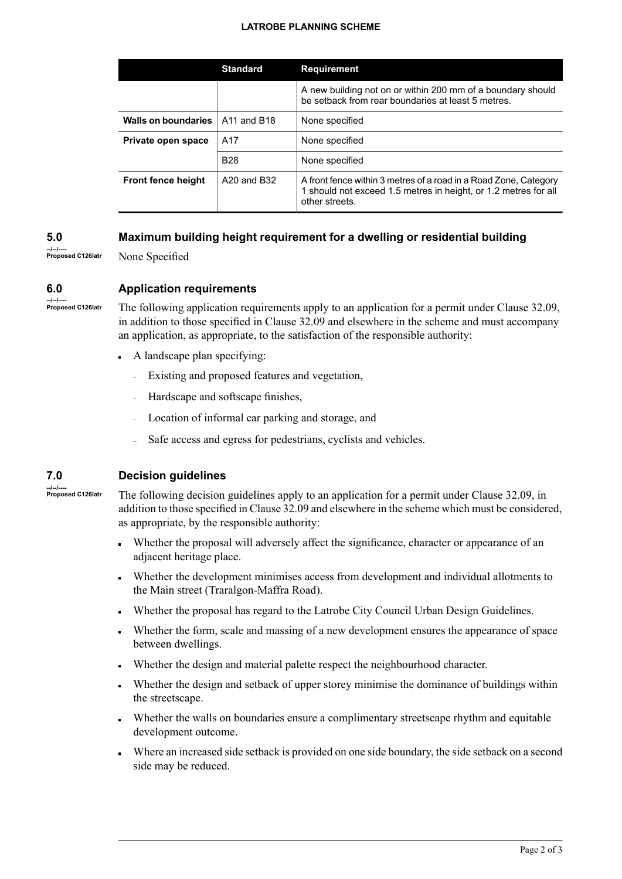### **LATROBE PLANNING SCHEME**

|                            | <b>Standard</b>                     | <b>Requirement</b>                                                                                                                                    |
|----------------------------|-------------------------------------|-------------------------------------------------------------------------------------------------------------------------------------------------------|
|                            |                                     | A new building not on or within 200 mm of a boundary should<br>be setback from rear boundaries at least 5 metres.                                     |
| <b>Walls on boundaries</b> | A <sub>11</sub> and B <sub>18</sub> | None specified                                                                                                                                        |
| Private open space         | A17                                 | None specified                                                                                                                                        |
|                            | <b>B28</b>                          | None specified                                                                                                                                        |
| <b>Front fence height</b>  | A20 and B32                         | A front fence within 3 metres of a road in a Road Zone, Category<br>1 should not exceed 1.5 metres in height, or 1.2 metres for all<br>other streets. |

#### **5.0 Maximum building height requirement for a dwelling or residential building**

**--/--/---- Proposed C126latr**

None Specified

#### **6.0 Application requirements**

**--/--/---- Proposed C126latr**

The following application requirements apply to an application for a permit under Clause 32.09, in addition to those specified in Clause 32.09 and elsewhere in the scheme and must accompany an application, as appropriate, to the satisfaction of the responsible authority:

- A landscape plan specifying:
	- Existing and proposed features and vegetation,
	- Hardscape and softscape finishes,
	- Location of informal car parking and storage, and
	- Safe access and egress for pedestrians, cyclists and vehicles.

#### **7.0 Decision guidelines**

**--/--/---- Proposed C126latr**

The following decision guidelines apply to an application for a permit under Clause 32.09, in addition to those specified in Clause 32.09 and elsewhere in the scheme which must be considered, as appropriate, by the responsible authority:

- Whether the proposal will adversely affect the significance, character or appearance of an adjacent heritage place.
- Whether the development minimises access from development and individual allotments to the Main street (Traralgon-Maffra Road).
- Whether the proposal has regard to the Latrobe City Council Urban Design Guidelines.
- Whether the form, scale and massing of a new development ensures the appearance of space  $\blacksquare$ between dwellings.
- Whether the design and material palette respect the neighbourhood character.
- Whether the design and setback of upper storey minimise the dominance of buildings within the streetscape.
- Whether the walls on boundaries ensure a complimentary streetscape rhythm and equitable development outcome.
- Where an increased side setback is provided on one side boundary, the side setback on a second side may be reduced.